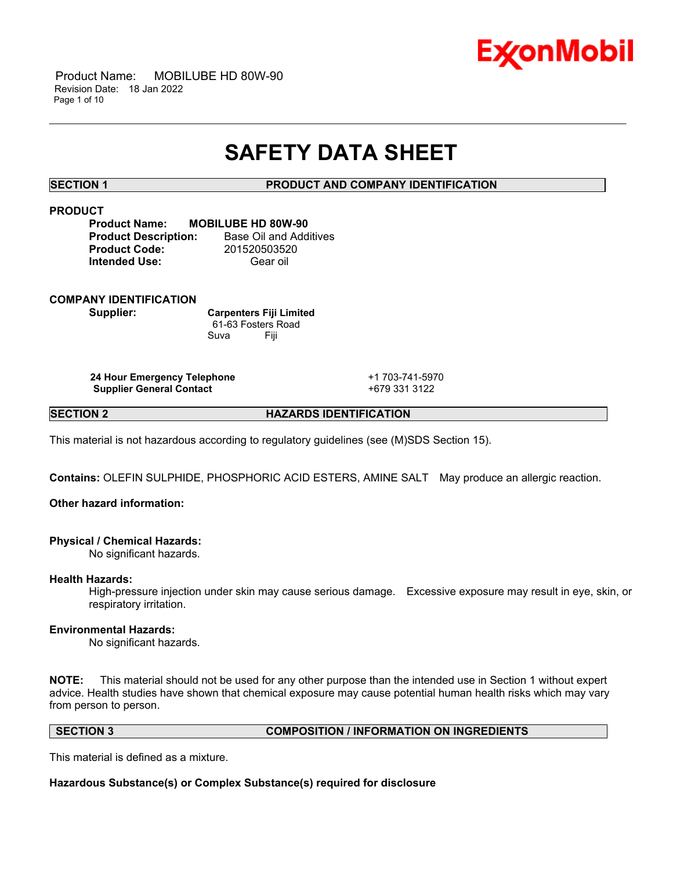

 Product Name: MOBILUBE HD 80W-90 Revision Date: 18 Jan 2022 Page 1 of 10

## **SAFETY DATA SHEET**

\_\_\_\_\_\_\_\_\_\_\_\_\_\_\_\_\_\_\_\_\_\_\_\_\_\_\_\_\_\_\_\_\_\_\_\_\_\_\_\_\_\_\_\_\_\_\_\_\_\_\_\_\_\_\_\_\_\_\_\_\_\_\_\_\_\_\_\_\_\_\_\_\_\_\_\_\_\_\_\_\_\_\_\_\_\_\_\_\_\_\_\_\_\_\_\_\_\_\_\_\_\_\_\_\_\_\_\_\_\_\_\_\_\_\_\_\_\_

**SECTION 1 PRODUCT AND COMPANY IDENTIFICATION**

## **PRODUCT**

| <b>Product Name:</b>        | <b>MOBILUBE HD 80W-90</b> |
|-----------------------------|---------------------------|
| <b>Product Description:</b> | Base Oil and Additives    |
| <b>Product Code:</b>        | 201520503520              |
| <b>Intended Use:</b>        | Gear oil                  |

#### **COMPANY IDENTIFICATION**

**Supplier: Carpenters Fiji Limited** 61-63 Fosters Road Suva Fiji

**24 Hour Emergency Telephone** +1 703-741-5970 **Supplier General Contact** +679 331 3122

**SECTION 2 HAZARDS IDENTIFICATION**

This material is not hazardous according to regulatory guidelines (see (M)SDS Section 15).

**Contains:** OLEFIN SULPHIDE, PHOSPHORIC ACID ESTERS, AMINE SALT May produce an allergic reaction.

## **Other hazard information:**

#### **Physical / Chemical Hazards:**

No significant hazards.

#### **Health Hazards:**

High-pressure injection under skin may cause serious damage. Excessive exposure may result in eye, skin, or respiratory irritation.

#### **Environmental Hazards:**

No significant hazards.

**NOTE:** This material should not be used for any other purpose than the intended use in Section 1 without expert advice. Health studies have shown that chemical exposure may cause potential human health risks which may vary from person to person.

#### **SECTION 3 COMPOSITION / INFORMATION ON INGREDIENTS**

This material is defined as a mixture.

**Hazardous Substance(s) or Complex Substance(s) required for disclosure**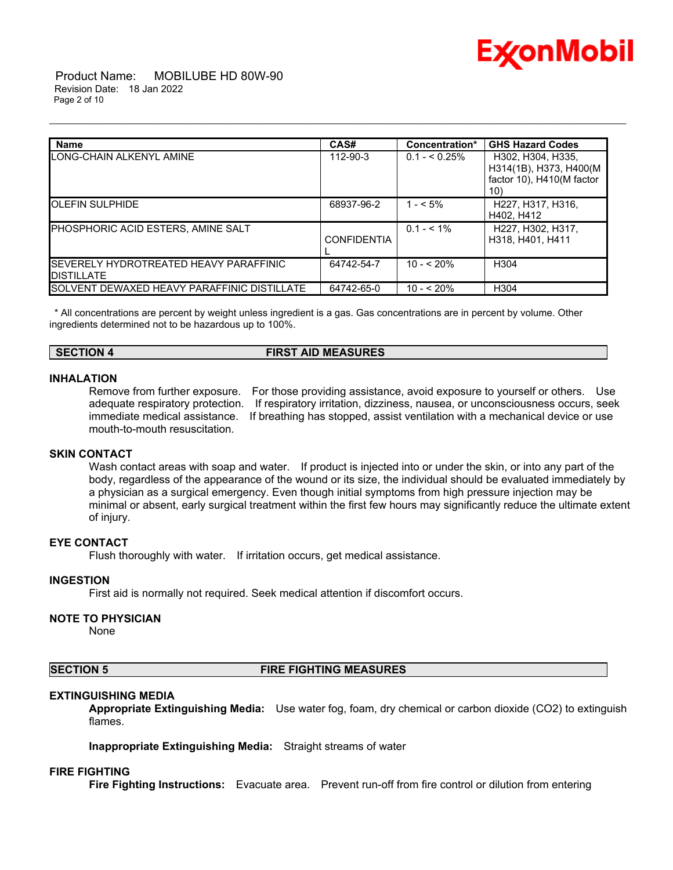

 Product Name: MOBILUBE HD 80W-90 Revision Date: 18 Jan 2022 Page 2 of 10

| <b>Name</b>                                                         | CAS#               | Concentration* | <b>GHS Hazard Codes</b>                                                          |
|---------------------------------------------------------------------|--------------------|----------------|----------------------------------------------------------------------------------|
| LONG-CHAIN ALKENYL AMINE                                            | 112-90-3           | $0.1 - 5.25\%$ | H302. H304. H335.<br>H314(1B), H373, H400(M)<br>factor 10), H410(M factor<br>10) |
| <b>IOLEFIN SULPHIDE</b>                                             | 68937-96-2         | $1 - 5\%$      | H <sub>227</sub> , H <sub>317</sub> , H <sub>316</sub> ,<br>H402, H412           |
| PHOSPHORIC ACID ESTERS, AMINE SALT                                  | <b>CONFIDENTIA</b> | $0.1 - 5.1\%$  | H227, H302, H317,<br>H318, H401, H411                                            |
| <b>ISEVERELY HYDROTREATED HEAVY PARAFFINIC</b><br><b>DISTILLATE</b> | 64742-54-7         | $10 - 520%$    | H <sub>304</sub>                                                                 |
| <b>ISOLVENT DEWAXED HEAVY PARAFFINIC DISTILLATE</b>                 | 64742-65-0         | $10 - 520%$    | H <sub>304</sub>                                                                 |

\_\_\_\_\_\_\_\_\_\_\_\_\_\_\_\_\_\_\_\_\_\_\_\_\_\_\_\_\_\_\_\_\_\_\_\_\_\_\_\_\_\_\_\_\_\_\_\_\_\_\_\_\_\_\_\_\_\_\_\_\_\_\_\_\_\_\_\_\_\_\_\_\_\_\_\_\_\_\_\_\_\_\_\_\_\_\_\_\_\_\_\_\_\_\_\_\_\_\_\_\_\_\_\_\_\_\_\_\_\_\_\_\_\_\_\_\_\_

\* All concentrations are percent by weight unless ingredient is a gas. Gas concentrations are in percent by volume. Other ingredients determined not to be hazardous up to 100%.

#### **SECTION 4 FIRST AID MEASURES**

#### **INHALATION**

Remove from further exposure. For those providing assistance, avoid exposure to yourself or others. Use adequate respiratory protection. If respiratory irritation, dizziness, nausea, or unconsciousness occurs, seek immediate medical assistance. If breathing has stopped, assist ventilation with a mechanical device or use mouth-to-mouth resuscitation.

#### **SKIN CONTACT**

Wash contact areas with soap and water. If product is injected into or under the skin, or into any part of the body, regardless of the appearance of the wound or its size, the individual should be evaluated immediately by a physician as a surgical emergency. Even though initial symptoms from high pressure injection may be minimal or absent, early surgical treatment within the first few hours may significantly reduce the ultimate extent of injury.

#### **EYE CONTACT**

Flush thoroughly with water. If irritation occurs, get medical assistance.

#### **INGESTION**

First aid is normally not required. Seek medical attention if discomfort occurs.

#### **NOTE TO PHYSICIAN**

None

#### **SECTION 5 FIRE FIGHTING MEASURES**

#### **EXTINGUISHING MEDIA**

**Appropriate Extinguishing Media:** Use water fog, foam, dry chemical or carbon dioxide (CO2) to extinguish flames.

**Inappropriate Extinguishing Media:** Straight streams of water

#### **FIRE FIGHTING**

**Fire Fighting Instructions:** Evacuate area. Prevent run-off from fire control or dilution from entering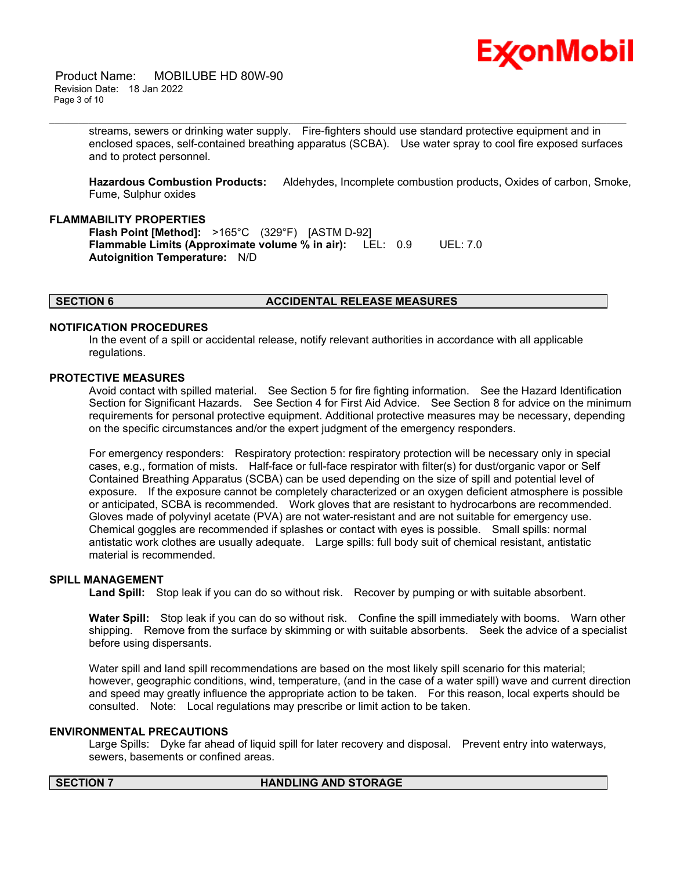

 Product Name: MOBILUBE HD 80W-90 Revision Date: 18 Jan 2022 Page 3 of 10

> streams, sewers or drinking water supply. Fire-fighters should use standard protective equipment and in enclosed spaces, self-contained breathing apparatus (SCBA). Use water spray to cool fire exposed surfaces and to protect personnel.

\_\_\_\_\_\_\_\_\_\_\_\_\_\_\_\_\_\_\_\_\_\_\_\_\_\_\_\_\_\_\_\_\_\_\_\_\_\_\_\_\_\_\_\_\_\_\_\_\_\_\_\_\_\_\_\_\_\_\_\_\_\_\_\_\_\_\_\_\_\_\_\_\_\_\_\_\_\_\_\_\_\_\_\_\_\_\_\_\_\_\_\_\_\_\_\_\_\_\_\_\_\_\_\_\_\_\_\_\_\_\_\_\_\_\_\_\_\_

**Hazardous Combustion Products:** Aldehydes, Incomplete combustion products, Oxides of carbon, Smoke, Fume, Sulphur oxides

#### **FLAMMABILITY PROPERTIES**

**Flash Point [Method]:** >165°C (329°F) [ASTM D-92] **Flammable Limits (Approximate volume % in air):** LEL: 0.9 UEL: 7.0 **Autoignition Temperature:** N/D

#### **SECTION 6 ACCIDENTAL RELEASE MEASURES**

#### **NOTIFICATION PROCEDURES**

In the event of a spill or accidental release, notify relevant authorities in accordance with all applicable regulations.

#### **PROTECTIVE MEASURES**

Avoid contact with spilled material. See Section 5 for fire fighting information. See the Hazard Identification Section for Significant Hazards. See Section 4 for First Aid Advice. See Section 8 for advice on the minimum requirements for personal protective equipment. Additional protective measures may be necessary, depending on the specific circumstances and/or the expert judgment of the emergency responders.

For emergency responders: Respiratory protection: respiratory protection will be necessary only in special cases, e.g., formation of mists. Half-face or full-face respirator with filter(s) for dust/organic vapor or Self Contained Breathing Apparatus (SCBA) can be used depending on the size of spill and potential level of exposure. If the exposure cannot be completely characterized or an oxygen deficient atmosphere is possible or anticipated, SCBA is recommended. Work gloves that are resistant to hydrocarbons are recommended. Gloves made of polyvinyl acetate (PVA) are not water-resistant and are not suitable for emergency use. Chemical goggles are recommended if splashes or contact with eyes is possible. Small spills: normal antistatic work clothes are usually adequate. Large spills: full body suit of chemical resistant, antistatic material is recommended.

#### **SPILL MANAGEMENT**

**Land Spill:** Stop leak if you can do so without risk. Recover by pumping or with suitable absorbent.

**Water Spill:** Stop leak if you can do so without risk. Confine the spill immediately with booms. Warn other shipping. Remove from the surface by skimming or with suitable absorbents. Seek the advice of a specialist before using dispersants.

Water spill and land spill recommendations are based on the most likely spill scenario for this material; however, geographic conditions, wind, temperature, (and in the case of a water spill) wave and current direction and speed may greatly influence the appropriate action to be taken. For this reason, local experts should be consulted. Note: Local regulations may prescribe or limit action to be taken.

#### **ENVIRONMENTAL PRECAUTIONS**

Large Spills: Dyke far ahead of liquid spill for later recovery and disposal. Prevent entry into waterways, sewers, basements or confined areas.

#### **SECTION 7 HANDLING AND STORAGE**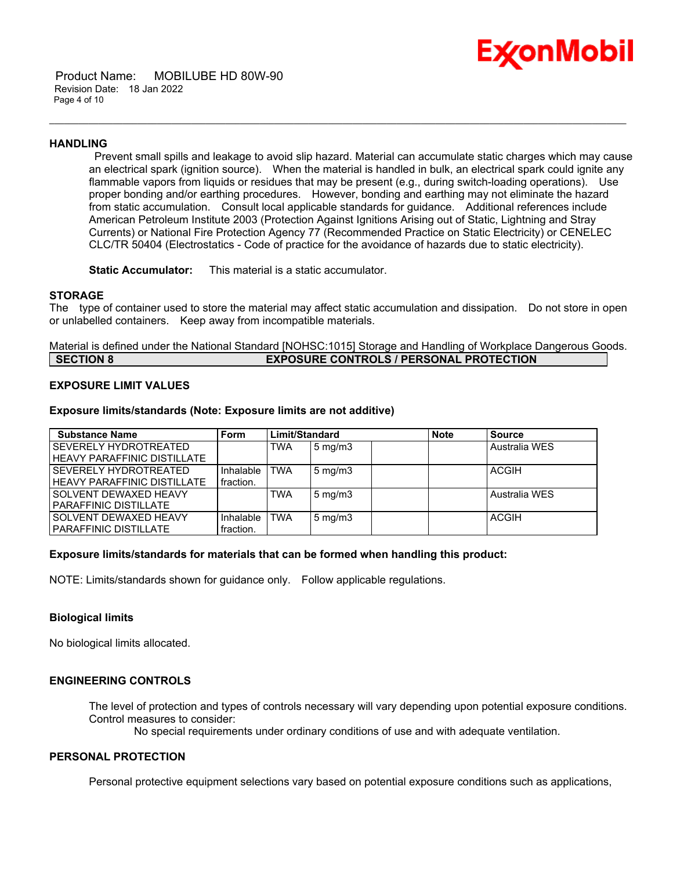

 Product Name: MOBILUBE HD 80W-90 Revision Date: 18 Jan 2022 Page 4 of 10

#### **HANDLING**

Prevent small spills and leakage to avoid slip hazard. Material can accumulate static charges which may cause an electrical spark (ignition source). When the material is handled in bulk, an electrical spark could ignite any flammable vapors from liquids or residues that may be present (e.g., during switch-loading operations). Use proper bonding and/or earthing procedures. However, bonding and earthing may not eliminate the hazard from static accumulation. Consult local applicable standards for guidance. Additional references include American Petroleum Institute 2003 (Protection Against Ignitions Arising out of Static, Lightning and Stray Currents) or National Fire Protection Agency 77 (Recommended Practice on Static Electricity) or CENELEC CLC/TR 50404 (Electrostatics - Code of practice for the avoidance of hazards due to static electricity).

\_\_\_\_\_\_\_\_\_\_\_\_\_\_\_\_\_\_\_\_\_\_\_\_\_\_\_\_\_\_\_\_\_\_\_\_\_\_\_\_\_\_\_\_\_\_\_\_\_\_\_\_\_\_\_\_\_\_\_\_\_\_\_\_\_\_\_\_\_\_\_\_\_\_\_\_\_\_\_\_\_\_\_\_\_\_\_\_\_\_\_\_\_\_\_\_\_\_\_\_\_\_\_\_\_\_\_\_\_\_\_\_\_\_\_\_\_\_

**Static Accumulator:** This material is a static accumulator.

#### **STORAGE**

The type of container used to store the material may affect static accumulation and dissipation. Do not store in open or unlabelled containers. Keep away from incompatible materials.

Material is defined under the National Standard [NOHSC:1015] Storage and Handling of Workplace Dangerous Goods. **SECTION 8 EXPOSURE CONTROLS / PERSONAL PROTECTION**

#### **EXPOSURE LIMIT VALUES**

#### **Exposure limits/standards (Note: Exposure limits are not additive)**

| <b>Substance Name</b>              | <b>Form</b> | Limit/Standard |                    | <b>Note</b> | <b>Source</b> |               |
|------------------------------------|-------------|----------------|--------------------|-------------|---------------|---------------|
| SEVERELY HYDROTREATED              |             | TWA            | $5 \text{ mg/m}$   |             |               | Australia WES |
| <b>HEAVY PARAFFINIC DISTILLATE</b> |             |                |                    |             |               |               |
| <b>SEVERELY HYDROTREATED</b>       | Inhalable   | TWA            | $5 \text{ mg/m}$ 3 |             |               | <b>ACGIH</b>  |
| <b>HEAVY PARAFFINIC DISTILLATE</b> | fraction.   |                |                    |             |               |               |
| <b>SOLVENT DEWAXED HEAVY</b>       |             | <b>TWA</b>     | $5 \text{ mg/m}$   |             |               | Australia WES |
| <b>PARAFFINIC DISTILLATE</b>       |             |                |                    |             |               |               |
| <b>SOLVENT DEWAXED HEAVY</b>       | Inhalable   | TWA            | $5 \text{ mg/m}$   |             |               | <b>ACGIH</b>  |
| I PARAFFINIC DISTILLATE            | fraction.   |                |                    |             |               |               |

#### **Exposure limits/standards for materials that can be formed when handling this product:**

NOTE: Limits/standards shown for guidance only. Follow applicable regulations.

#### **Biological limits**

No biological limits allocated.

#### **ENGINEERING CONTROLS**

The level of protection and types of controls necessary will vary depending upon potential exposure conditions. Control measures to consider:

No special requirements under ordinary conditions of use and with adequate ventilation.

#### **PERSONAL PROTECTION**

Personal protective equipment selections vary based on potential exposure conditions such as applications,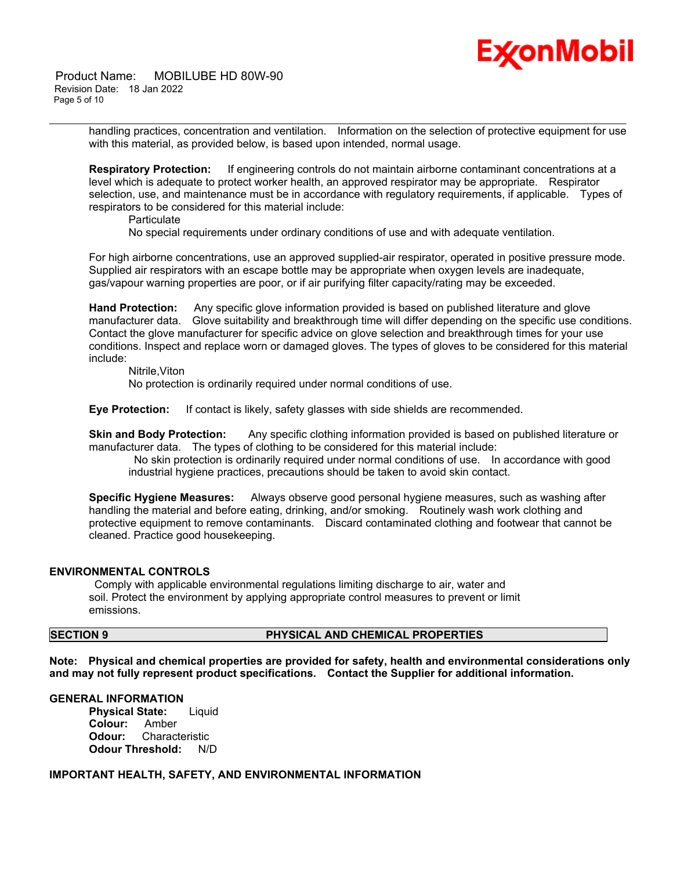# Ex⁄onMobil

 Product Name: MOBILUBE HD 80W-90 Revision Date: 18 Jan 2022 Page 5 of 10

> handling practices, concentration and ventilation. Information on the selection of protective equipment for use with this material, as provided below, is based upon intended, normal usage.

\_\_\_\_\_\_\_\_\_\_\_\_\_\_\_\_\_\_\_\_\_\_\_\_\_\_\_\_\_\_\_\_\_\_\_\_\_\_\_\_\_\_\_\_\_\_\_\_\_\_\_\_\_\_\_\_\_\_\_\_\_\_\_\_\_\_\_\_\_\_\_\_\_\_\_\_\_\_\_\_\_\_\_\_\_\_\_\_\_\_\_\_\_\_\_\_\_\_\_\_\_\_\_\_\_\_\_\_\_\_\_\_\_\_\_\_\_\_

**Respiratory Protection:** If engineering controls do not maintain airborne contaminant concentrations at a level which is adequate to protect worker health, an approved respirator may be appropriate. Respirator selection, use, and maintenance must be in accordance with regulatory requirements, if applicable. Types of respirators to be considered for this material include:

**Particulate** 

No special requirements under ordinary conditions of use and with adequate ventilation.

For high airborne concentrations, use an approved supplied-air respirator, operated in positive pressure mode. Supplied air respirators with an escape bottle may be appropriate when oxygen levels are inadequate, gas/vapour warning properties are poor, or if air purifying filter capacity/rating may be exceeded.

**Hand Protection:** Any specific glove information provided is based on published literature and glove manufacturer data. Glove suitability and breakthrough time will differ depending on the specific use conditions. Contact the glove manufacturer for specific advice on glove selection and breakthrough times for your use conditions. Inspect and replace worn or damaged gloves. The types of gloves to be considered for this material include:

Nitrile,Viton

No protection is ordinarily required under normal conditions of use.

**Eye Protection:** If contact is likely, safety glasses with side shields are recommended.

**Skin and Body Protection:** Any specific clothing information provided is based on published literature or manufacturer data. The types of clothing to be considered for this material include:

No skin protection is ordinarily required under normal conditions of use. In accordance with good industrial hygiene practices, precautions should be taken to avoid skin contact.

**Specific Hygiene Measures:** Always observe good personal hygiene measures, such as washing after handling the material and before eating, drinking, and/or smoking. Routinely wash work clothing and protective equipment to remove contaminants. Discard contaminated clothing and footwear that cannot be cleaned. Practice good housekeeping.

#### **ENVIRONMENTAL CONTROLS**

Comply with applicable environmental regulations limiting discharge to air, water and soil. Protect the environment by applying appropriate control measures to prevent or limit emissions.

## **SECTION 9 PHYSICAL AND CHEMICAL PROPERTIES**

**Note: Physical and chemical properties are provided for safety, health and environmental considerations only and may not fully represent product specifications. Contact the Supplier for additional information.**

#### **GENERAL INFORMATION**

**Physical State:** Liquid **Colour:** Amber **Odour:** Characteristic **Odour Threshold:** N/D

#### **IMPORTANT HEALTH, SAFETY, AND ENVIRONMENTAL INFORMATION**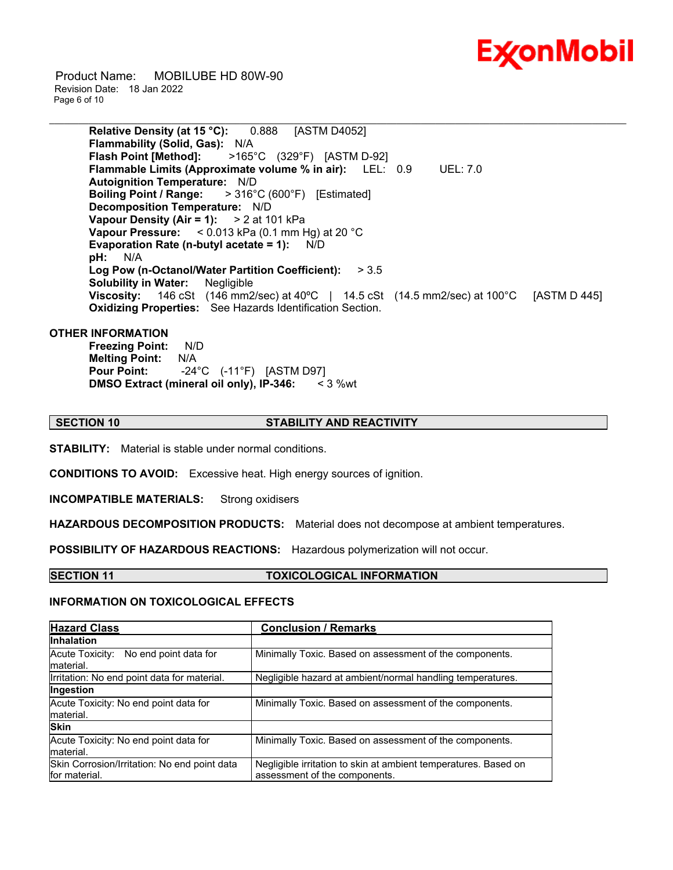

 Product Name: MOBILUBE HD 80W-90 Revision Date: 18 Jan 2022 Page 6 of 10

> **Relative Density (at 15 °C):** 0.888 [ASTM D4052] **Flammability (Solid, Gas):** N/A **Flash Point [Method]:** >165°C (329°F) [ASTM D-92] **Flammable Limits (Approximate volume % in air):** LEL: 0.9 UEL: 7.0 **Autoignition Temperature:** N/D **Boiling Point / Range:** > 316°C (600°F) [Estimated] **Decomposition Temperature:** N/D **Vapour Density (Air = 1):** > 2 at 101 kPa **Vapour Pressure:** < 0.013 kPa (0.1 mm Hg) at 20 °C **Evaporation Rate (n-butyl acetate = 1):** N/D **pH:** N/A **Log Pow (n-Octanol/Water Partition Coefficient):** > 3.5 **Solubility in Water:** Negligible **Viscosity:** 146 cSt (146 mm2/sec) at 40ºC | 14.5 cSt (14.5 mm2/sec) at 100°C [ASTM D 445] **Oxidizing Properties:** See Hazards Identification Section.

\_\_\_\_\_\_\_\_\_\_\_\_\_\_\_\_\_\_\_\_\_\_\_\_\_\_\_\_\_\_\_\_\_\_\_\_\_\_\_\_\_\_\_\_\_\_\_\_\_\_\_\_\_\_\_\_\_\_\_\_\_\_\_\_\_\_\_\_\_\_\_\_\_\_\_\_\_\_\_\_\_\_\_\_\_\_\_\_\_\_\_\_\_\_\_\_\_\_\_\_\_\_\_\_\_\_\_\_\_\_\_\_\_\_\_\_\_\_

#### **OTHER INFORMATION**

**Freezing Point:** N/D **Melting Point:** N/A **Pour Point:** -24°C (-11°F) [ASTM D97] **DMSO Extract (mineral oil only), IP-346:** < 3 %wt

#### **SECTION 10 STABILITY AND REACTIVITY**

**STABILITY:** Material is stable under normal conditions.

**CONDITIONS TO AVOID:** Excessive heat. High energy sources of ignition.

**INCOMPATIBLE MATERIALS:** Strong oxidisers

**HAZARDOUS DECOMPOSITION PRODUCTS:** Material does not decompose at ambient temperatures.

**POSSIBILITY OF HAZARDOUS REACTIONS:** Hazardous polymerization will not occur.

#### **SECTION 11 TOXICOLOGICAL INFORMATION**

#### **INFORMATION ON TOXICOLOGICAL EFFECTS**

| <b>Hazard Class</b>                                           | <b>Conclusion / Remarks</b>                                                                      |
|---------------------------------------------------------------|--------------------------------------------------------------------------------------------------|
| <b>Inhalation</b>                                             |                                                                                                  |
| Acute Toxicity: No end point data for<br>material.            | Minimally Toxic. Based on assessment of the components.                                          |
| Irritation: No end point data for material.                   | Negligible hazard at ambient/normal handling temperatures.                                       |
| Ingestion                                                     |                                                                                                  |
| Acute Toxicity: No end point data for<br>material.            | Minimally Toxic. Based on assessment of the components.                                          |
| <b>Skin</b>                                                   |                                                                                                  |
| Acute Toxicity: No end point data for<br>material.            | Minimally Toxic. Based on assessment of the components.                                          |
| Skin Corrosion/Irritation: No end point data<br>for material. | Negligible irritation to skin at ambient temperatures. Based on<br>assessment of the components. |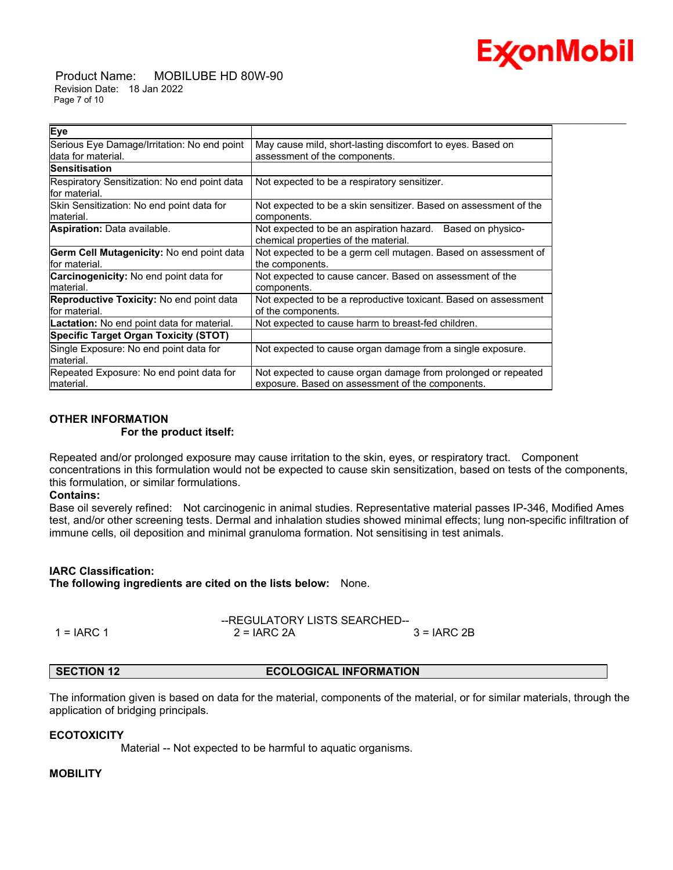

 Product Name: MOBILUBE HD 80W-90 Revision Date: 18 Jan 2022 Page 7 of 10

| Eye                                               |                                                                  |
|---------------------------------------------------|------------------------------------------------------------------|
| Serious Eye Damage/Irritation: No end point       | May cause mild, short-lasting discomfort to eyes. Based on       |
| data for material.                                | assessment of the components.                                    |
| <b>Sensitisation</b>                              |                                                                  |
| Respiratory Sensitization: No end point data      | Not expected to be a respiratory sensitizer.                     |
| lfor material.                                    |                                                                  |
| Skin Sensitization: No end point data for         | Not expected to be a skin sensitizer. Based on assessment of the |
| material.                                         | components.                                                      |
| <b>Aspiration:</b> Data available.                | Not expected to be an aspiration hazard.<br>Based on physico-    |
|                                                   | chemical properties of the material.                             |
| Germ Cell Mutagenicity: No end point data         | Not expected to be a germ cell mutagen. Based on assessment of   |
| lfor material.                                    | the components.                                                  |
| <b>Carcinogenicity:</b> No end point data for     | Not expected to cause cancer. Based on assessment of the         |
| material.                                         | components.                                                      |
| <b>Reproductive Toxicity:</b> No end point data   | Not expected to be a reproductive toxicant. Based on assessment  |
| lfor material.                                    | of the components.                                               |
| <b>Lactation:</b> No end point data for material. | Not expected to cause harm to breast-fed children.               |
| <b>Specific Target Organ Toxicity (STOT)</b>      |                                                                  |
| Single Exposure: No end point data for            | Not expected to cause organ damage from a single exposure.       |
| lmaterial.                                        |                                                                  |
| Repeated Exposure: No end point data for          | Not expected to cause organ damage from prolonged or repeated    |
| lmaterial.                                        | exposure. Based on assessment of the components.                 |

\_\_\_\_\_\_\_\_\_\_\_\_\_\_\_\_\_\_\_\_\_\_\_\_\_\_\_\_\_\_\_\_\_\_\_\_\_\_\_\_\_\_\_\_\_\_\_\_\_\_\_\_\_\_\_\_\_\_\_\_\_\_\_\_\_\_\_\_\_\_\_\_\_\_\_\_\_\_\_\_\_\_\_\_\_\_\_\_\_\_\_\_\_\_\_\_\_\_\_\_\_\_\_\_\_\_\_\_\_\_\_\_\_\_\_\_\_\_

#### **OTHER INFORMATION For the product itself:**

Repeated and/or prolonged exposure may cause irritation to the skin, eyes, or respiratory tract. Component concentrations in this formulation would not be expected to cause skin sensitization, based on tests of the components, this formulation, or similar formulations.

#### **Contains:**

Base oil severely refined: Not carcinogenic in animal studies. Representative material passes IP-346, Modified Ames test, and/or other screening tests. Dermal and inhalation studies showed minimal effects; lung non-specific infiltration of immune cells, oil deposition and minimal granuloma formation. Not sensitising in test animals.

## **IARC Classification:**

**The following ingredients are cited on the lists below:** None.

|            | --REGULATORY LISTS SEARCHED-- |               |
|------------|-------------------------------|---------------|
| 1 = IARC 1 | $2 = IARC 2A$                 | $3 = IARC 2B$ |

### **SECTION 12 ECOLOGICAL INFORMATION**

The information given is based on data for the material, components of the material, or for similar materials, through the application of bridging principals.

#### **ECOTOXICITY**

Material -- Not expected to be harmful to aquatic organisms.

## **MOBILITY**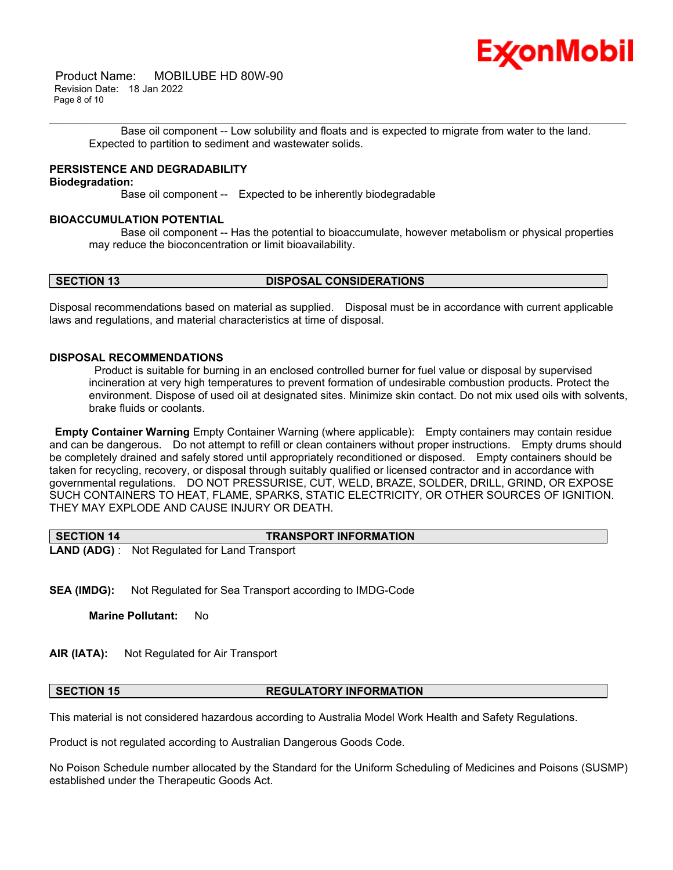

 Product Name: MOBILUBE HD 80W-90 Revision Date: 18 Jan 2022 Page 8 of 10

\_\_\_\_\_\_\_\_\_\_\_\_\_\_\_\_\_\_\_\_\_\_\_\_\_\_\_\_\_\_\_\_\_\_\_\_\_\_\_\_\_\_\_\_\_\_\_\_\_\_\_\_\_\_\_\_\_\_\_\_\_\_\_\_\_\_\_\_\_\_\_\_\_\_\_\_\_\_\_\_\_\_\_\_\_\_\_\_\_\_\_\_\_\_\_\_\_\_\_\_\_\_\_\_\_\_\_\_\_\_\_\_\_\_\_\_\_\_ Base oil component -- Low solubility and floats and is expected to migrate from water to the land. Expected to partition to sediment and wastewater solids.

## **PERSISTENCE AND DEGRADABILITY**

#### **Biodegradation:**

Base oil component -- Expected to be inherently biodegradable

## **BIOACCUMULATION POTENTIAL**

 Base oil component -- Has the potential to bioaccumulate, however metabolism or physical properties may reduce the bioconcentration or limit bioavailability.

#### **SECTION 13 DISPOSAL CONSIDERATIONS**

Disposal recommendations based on material as supplied. Disposal must be in accordance with current applicable laws and regulations, and material characteristics at time of disposal.

## **DISPOSAL RECOMMENDATIONS**

Product is suitable for burning in an enclosed controlled burner for fuel value or disposal by supervised incineration at very high temperatures to prevent formation of undesirable combustion products. Protect the environment. Dispose of used oil at designated sites. Minimize skin contact. Do not mix used oils with solvents, brake fluids or coolants.

**Empty Container Warning** Empty Container Warning (where applicable): Empty containers may contain residue and can be dangerous. Do not attempt to refill or clean containers without proper instructions. Empty drums should be completely drained and safely stored until appropriately reconditioned or disposed. Empty containers should be taken for recycling, recovery, or disposal through suitably qualified or licensed contractor and in accordance with governmental regulations. DO NOT PRESSURISE, CUT, WELD, BRAZE, SOLDER, DRILL, GRIND, OR EXPOSE SUCH CONTAINERS TO HEAT, FLAME, SPARKS, STATIC ELECTRICITY, OR OTHER SOURCES OF IGNITION. THEY MAY EXPLODE AND CAUSE INJURY OR DEATH.

| SECTION 14 | <b>TRANSPORT INFORMATION</b>                         |
|------------|------------------------------------------------------|
|            | <b>LAND (ADG)</b> : Not Regulated for Land Transport |

**SEA (IMDG):** Not Regulated for Sea Transport according to IMDG-Code

**Marine Pollutant:** No

**AIR (IATA):** Not Regulated for Air Transport

#### **SECTION 15 REGULATORY INFORMATION**

This material is not considered hazardous according to Australia Model Work Health and Safety Regulations.

Product is not regulated according to Australian Dangerous Goods Code.

No Poison Schedule number allocated by the Standard for the Uniform Scheduling of Medicines and Poisons (SUSMP) established under the Therapeutic Goods Act.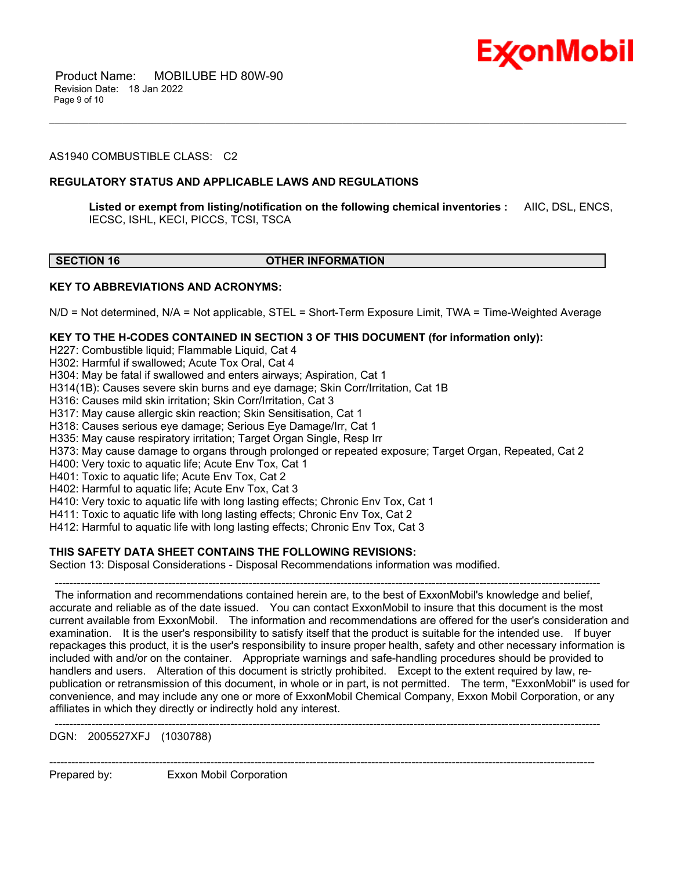

 Product Name: MOBILUBE HD 80W-90 Revision Date: 18 Jan 2022 Page 9 of 10

#### AS1940 COMBUSTIBLE CLASS: C2

#### **REGULATORY STATUS AND APPLICABLE LAWS AND REGULATIONS**

**Listed or exempt from listing/notification on the following chemical inventories :** AIIC, DSL, ENCS, IECSC, ISHL, KECI, PICCS, TCSI, TSCA

\_\_\_\_\_\_\_\_\_\_\_\_\_\_\_\_\_\_\_\_\_\_\_\_\_\_\_\_\_\_\_\_\_\_\_\_\_\_\_\_\_\_\_\_\_\_\_\_\_\_\_\_\_\_\_\_\_\_\_\_\_\_\_\_\_\_\_\_\_\_\_\_\_\_\_\_\_\_\_\_\_\_\_\_\_\_\_\_\_\_\_\_\_\_\_\_\_\_\_\_\_\_\_\_\_\_\_\_\_\_\_\_\_\_\_\_\_\_

#### **SECTION 16 OTHER INFORMATION**

#### **KEY TO ABBREVIATIONS AND ACRONYMS:**

N/D = Not determined, N/A = Not applicable, STEL = Short-Term Exposure Limit, TWA = Time-Weighted Average

#### **KEY TO THE H-CODES CONTAINED IN SECTION 3 OF THIS DOCUMENT (for information only):**

H227: Combustible liquid; Flammable Liquid, Cat 4

H302: Harmful if swallowed; Acute Tox Oral, Cat 4

- H304: May be fatal if swallowed and enters airways; Aspiration, Cat 1
- H314(1B): Causes severe skin burns and eye damage; Skin Corr/Irritation, Cat 1B
- H316: Causes mild skin irritation; Skin Corr/Irritation, Cat 3

H317: May cause allergic skin reaction; Skin Sensitisation, Cat 1

H318: Causes serious eye damage; Serious Eye Damage/Irr, Cat 1

H335: May cause respiratory irritation; Target Organ Single, Resp Irr

H373: May cause damage to organs through prolonged or repeated exposure; Target Organ, Repeated, Cat 2

H400: Very toxic to aquatic life; Acute Env Tox, Cat 1

H401: Toxic to aquatic life; Acute Env Tox, Cat 2

H402: Harmful to aquatic life; Acute Env Tox, Cat 3

H410: Very toxic to aquatic life with long lasting effects; Chronic Env Tox, Cat 1

H411: Toxic to aquatic life with long lasting effects; Chronic Env Tox, Cat 2

H412: Harmful to aquatic life with long lasting effects; Chronic Env Tox, Cat 3

#### **THIS SAFETY DATA SHEET CONTAINS THE FOLLOWING REVISIONS:**

Section 13: Disposal Considerations - Disposal Recommendations information was modified.

----------------------------------------------------------------------------------------------------------------------------------------------------- The information and recommendations contained herein are, to the best of ExxonMobil's knowledge and belief, accurate and reliable as of the date issued. You can contact ExxonMobil to insure that this document is the most current available from ExxonMobil. The information and recommendations are offered for the user's consideration and examination. It is the user's responsibility to satisfy itself that the product is suitable for the intended use. If buyer repackages this product, it is the user's responsibility to insure proper health, safety and other necessary information is included with and/or on the container. Appropriate warnings and safe-handling procedures should be provided to handlers and users. Alteration of this document is strictly prohibited. Except to the extent required by law, republication or retransmission of this document, in whole or in part, is not permitted. The term, "ExxonMobil" is used for convenience, and may include any one or more of ExxonMobil Chemical Company, Exxon Mobil Corporation, or any affiliates in which they directly or indirectly hold any interest.

-----------------------------------------------------------------------------------------------------------------------------------------------------

-----------------------------------------------------------------------------------------------------------------------------------------------------

DGN: 2005527XFJ (1030788)

Prepared by: Exxon Mobil Corporation